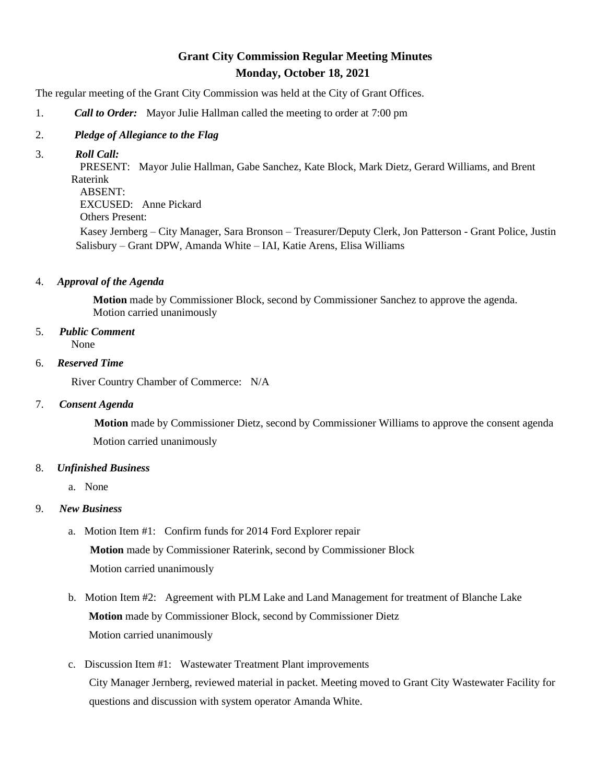# **Grant City Commission Regular Meeting Minutes Monday, October 18, 2021**

The regular meeting of the Grant City Commission was held at the City of Grant Offices.

1. *Call to Order:* Mayor Julie Hallman called the meeting to order at 7:00 pm

#### 2. *Pledge of Allegiance to the Flag*

3. *Roll Call:*

 PRESENT: Mayor Julie Hallman, Gabe Sanchez, Kate Block, Mark Dietz, Gerard Williams, and Brent Raterink ABSENT:

EXCUSED: Anne Pickard

Others Present:

Kasey Jernberg – City Manager, Sara Bronson – Treasurer/Deputy Clerk, Jon Patterson - Grant Police, Justin Salisbury – Grant DPW, Amanda White – IAI, Katie Arens, Elisa Williams

4. *Approval of the Agenda*

 **Motion** made by Commissioner Block, second by Commissioner Sanchez to approve the agenda. Motion carried unanimously

5. *Public Comment*

None

6. *Reserved Time*

River Country Chamber of Commerce: N/A

## 7. *Consent Agenda*

**Motion** made by Commissioner Dietz, second by Commissioner Williams to approve the consent agenda Motion carried unanimously

## 8. *Unfinished Business*

a. None

## 9. *New Business*

- a. Motion Item #1: Confirm funds for 2014 Ford Explorer repair **Motion** made by Commissioner Raterink, second by Commissioner Block Motion carried unanimously
- b. Motion Item #2: Agreement with PLM Lake and Land Management for treatment of Blanche Lake **Motion** made by Commissioner Block, second by Commissioner Dietz Motion carried unanimously
- c. Discussion Item #1: Wastewater Treatment Plant improvements City Manager Jernberg, reviewed material in packet. Meeting moved to Grant City Wastewater Facility for questions and discussion with system operator Amanda White.